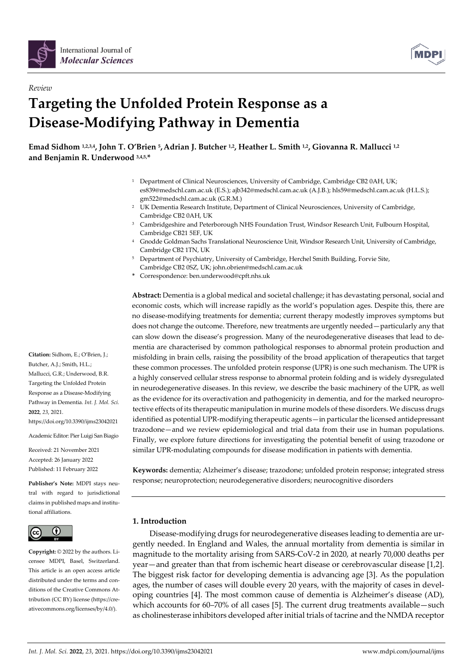

*Review*



# **Targeting the Unfolded Protein Response as a Disease-Modifying Pathway in Dementia**

**Emad Sidhom 1,2,3,4, John T. O'Brien 5,Adrian J. Butcher 1,2, Heather L. Smith 1,2, Giovanna R. Mallucci 1,2 and Benjamin R. Underwood 3,4,5, \***

- <sup>1</sup> Department of Clinical Neurosciences, University of Cambridge, Cambridge CB2 0AH, UK; es839@medschl.cam.ac.uk (E.S.); ajb342@medschl.cam.ac.uk (A.J.B.); hls59@medschl.cam.ac.uk (H.L.S.); gm522@medschl.cam.ac.uk (G.R.M.)
- <sup>2</sup> UK Dementia Research Institute, Department of Clinical Neurosciences, University of Cambridge, Cambridge CB2 0AH, UK
- <sup>3</sup> Cambridgeshire and Peterborough NHS Foundation Trust, Windsor Research Unit, Fulbourn Hospital, Cambridge CB21 5EF, UK
- <sup>4</sup> Gnodde Goldman Sachs Translational Neuroscience Unit, Windsor Research Unit, University of Cambridge, Cambridge CB2 1TN, UK
- <sup>5</sup> Department of Psychiatry, University of Cambridge, Herchel Smith Building, Forvie Site, Cambridge CB2 0SZ, UK; john.obrien@medschl.cam.ac.uk
- **\*** Correspondence: ben.underwood@cpft.nhs.uk

**Abstract:** Dementia is a global medical and societal challenge; it has devastating personal, social and economic costs, which will increase rapidly as the world's population ages. Despite this, there are no disease-modifying treatments for dementia; current therapy modestly improves symptoms but does not change the outcome. Therefore, new treatments are urgently needed—particularly any that can slow down the disease's progression. Many of the neurodegenerative diseases that lead to dementia are characterised by common pathological responses to abnormal protein production and misfolding in brain cells, raising the possibility of the broad application of therapeutics that target these common processes. The unfolded protein response (UPR) is one such mechanism. The UPR is a highly conserved cellular stress response to abnormal protein folding and is widely dysregulated in neurodegenerative diseases. In this review, we describe the basic machinery of the UPR, as well as the evidence for its overactivation and pathogenicity in dementia, and for the marked neuroprotective effects of its therapeutic manipulation in murine models of these disorders. We discuss drugs identified as potential UPR-modifying therapeutic agents—in particular the licensed antidepressant trazodone—and we review epidemiological and trial data from their use in human populations. Finally, we explore future directions for investigating the potential benefit of using trazodone or similar UPR-modulating compounds for disease modification in patients with dementia.

**Keywords:** dementia; Alzheimer's disease; trazodone; unfolded protein response; integrated stress response; neuroprotection; neurodegenerative disorders; neurocognitive disorders

## **1. Introduction**

Disease-modifying drugs for neurodegenerative diseases leading to dementia are urgently needed. In England and Wales, the annual mortality from dementia is similar in magnitude to the mortality arising from SARS-CoV-2 in 2020, at nearly 70,000 deaths per year—and greater than that from ischemic heart disease or cerebrovascular disease [1,2]. The biggest risk factor for developing dementia is advancing age [3]. As the population ages, the number of cases will double every 20 years, with the majority of cases in developing countries [4]. The most common cause of dementia is Alzheimer's disease (AD), which accounts for 60–70% of all cases [5]. The current drug treatments available—such as cholinesterase inhibitors developed after initial trials of tacrine and the NMDA receptor

**Citation:** Sidhom, E.; O'Brien, J.; Butcher, A.J.; Smith, H.L.; Mallucci, G.R.; Underwood, B.R. Targeting the Unfolded Protein Response as a Disease-Modifying Pathway in Dementia. *Int. J. Mol. Sci.*  **2022**, *23*, 2021.

https://doi.org/10.3390/ijms23042021

Academic Editor: Pier Luigi San Biagio

Received: 21 November 2021 Accepted: 26 January 2022 Published: 11 February 2022

**Publisher's Note:** MDPI stays neutral with regard to jurisdictional claims in published maps and institutional affiliations.



**Copyright:** © 2022 by the authors. Licensee MDPI, Basel, Switzerland. This article is an open access article distributed under the terms and conditions of the Creative Commons Attribution (CC BY) license (https://creativecommons.org/licenses/by/4.0/).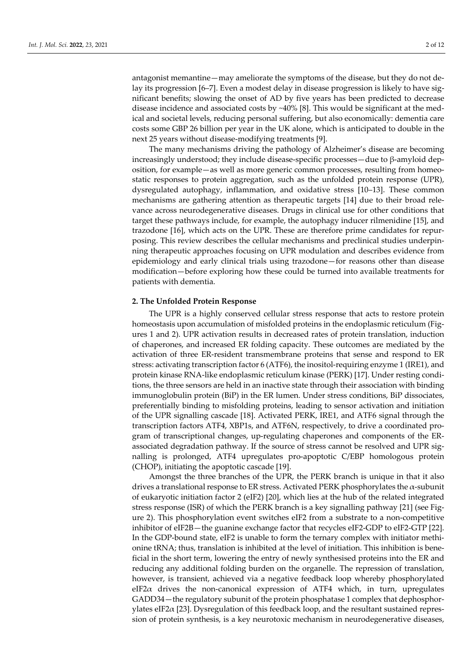antagonist memantine—may ameliorate the symptoms of the disease, but they do not delay its progression [6–7]. Even a modest delay in disease progression is likely to have significant benefits; slowing the onset of AD by five years has been predicted to decrease disease incidence and associated costs by ~40% [8]. This would be significant at the medical and societal levels, reducing personal suffering, but also economically: dementia care costs some GBP 26 billion per year in the UK alone, which is anticipated to double in the next 25 years without disease-modifying treatments [9].

The many mechanisms driving the pathology of Alzheimer's disease are becoming increasingly understood; they include disease-specific processes—due to β-amyloid deposition, for example—as well as more generic common processes, resulting from homeostatic responses to protein aggregation, such as the unfolded protein response (UPR), dysregulated autophagy, inflammation, and oxidative stress [10–13]. These common mechanisms are gathering attention as therapeutic targets [14] due to their broad relevance across neurodegenerative diseases. Drugs in clinical use for other conditions that target these pathways include, for example, the autophagy inducer rilmenidine [15], and trazodone [16], which acts on the UPR. These are therefore prime candidates for repurposing. This review describes the cellular mechanisms and preclinical studies underpinning therapeutic approaches focusing on UPR modulation and describes evidence from epidemiology and early clinical trials using trazodone—for reasons other than disease modification—before exploring how these could be turned into available treatments for patients with dementia.

## **2. The Unfolded Protein Response**

The UPR is a highly conserved cellular stress response that acts to restore protein homeostasis upon accumulation of misfolded proteins in the endoplasmic reticulum (Figures 1 and 2). UPR activation results in decreased rates of protein translation, induction of chaperones, and increased ER folding capacity. These outcomes are mediated by the activation of three ER-resident transmembrane proteins that sense and respond to ER stress: activating transcription factor 6 (ATF6), the inositol-requiring enzyme 1 (IRE1), and protein kinase RNA-like endoplasmic reticulum kinase (PERK) [17]. Under resting conditions, the three sensors are held in an inactive state through their association with binding immunoglobulin protein (BiP) in the ER lumen. Under stress conditions, BiP dissociates, preferentially binding to misfolding proteins, leading to sensor activation and initiation of the UPR signalling cascade [18]. Activated PERK, IRE1, and ATF6 signal through the transcription factors ATF4, XBP1s, and ATF6N, respectively, to drive a coordinated program of transcriptional changes, up-regulating chaperones and components of the ERassociated degradation pathway. If the source of stress cannot be resolved and UPR signalling is prolonged, ATF4 upregulates pro-apoptotic C/EBP homologous protein (CHOP), initiating the apoptotic cascade [19].

Amongst the three branches of the UPR, the PERK branch is unique in that it also drives a translational response to ER stress. Activated PERK phosphorylates the α-subunit of eukaryotic initiation factor 2 (eIF2) [20], which lies at the hub of the related integrated stress response (ISR) of which the PERK branch is a key signalling pathway [21] (see Figure 2). This phosphorylation event switches eIF2 from a substrate to a non-competitive inhibitor of eIF2B—the guanine exchange factor that recycles eIF2-GDP to eIF2-GTP [22]. In the GDP-bound state, eIF2 is unable to form the ternary complex with initiator methionine tRNA; thus, translation is inhibited at the level of initiation. This inhibition is beneficial in the short term, lowering the entry of newly synthesised proteins into the ER and reducing any additional folding burden on the organelle. The repression of translation, however, is transient, achieved via a negative feedback loop whereby phosphorylated eIF2 $\alpha$  drives the non-canonical expression of ATF4 which, in turn, upregulates GADD34—the regulatory subunit of the protein phosphatase 1 complex that dephosphorylates eIF2α [23]. Dysregulation of this feedback loop, and the resultant sustained repression of protein synthesis, is a key neurotoxic mechanism in neurodegenerative diseases,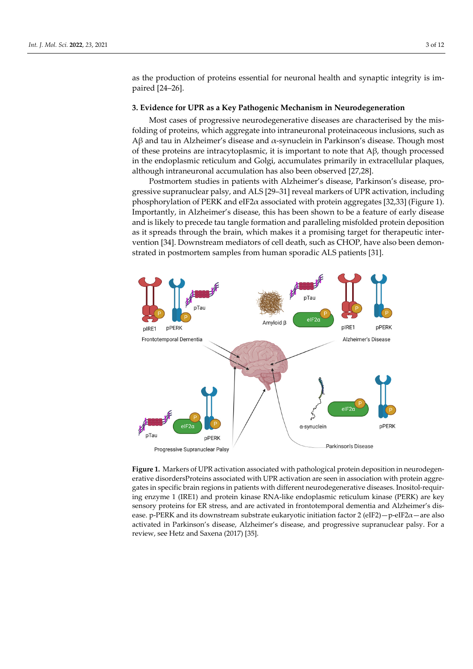as the production of proteins essential for neuronal health and synaptic integrity is impaired [24–26].

#### **3. Evidence for UPR as a Key Pathogenic Mechanism in Neurodegeneration**

Most cases of progressive neurodegenerative diseases are characterised by the misfolding of proteins, which aggregate into intraneuronal proteinaceous inclusions, such as Aβ and tau in Alzheimer's disease and  $\alpha$ -synuclein in Parkinson's disease. Though most of these proteins are intracytoplasmic, it is important to note that  $A\beta$ , though processed in the endoplasmic reticulum and Golgi, accumulates primarily in extracellular plaques, although intraneuronal accumulation has also been observed [27,28].

Postmortem studies in patients with Alzheimer's disease, Parkinson's disease, progressive supranuclear palsy, and ALS [29–31] reveal markers of UPR activation, including phosphorylation of PERK and eIF2 $\alpha$  associated with protein aggregates [32,33] (Figure 1). Importantly, in Alzheimer's disease, this has been shown to be a feature of early disease and is likely to precede tau tangle formation and paralleling misfolded protein deposition as it spreads through the brain, which makes it a promising target for therapeutic intervention [34]. Downstream mediators of cell death, such as CHOP, have also been demonstrated in postmortem samples from human sporadic ALS patients [31].



**Figure 1.** Markers of UPR activation associated with pathological protein deposition in neurodegenerative disordersProteins associated with UPR activation are seen in association with protein aggregates in specific brain regions in patients with different neurodegenerative diseases. Inositol-requiring enzyme 1 (IRE1) and protein kinase RNA-like endoplasmic reticulum kinase (PERK) are key sensory proteins for ER stress, and are activated in frontotemporal dementia and Alzheimer's disease. p-PERK and its downstream substrate eukaryotic initiation factor 2 (eIF2) - p-eIF2 $\alpha$  - are also activated in Parkinson's disease, Alzheimer's disease, and progressive supranuclear palsy. For a review, see Hetz and Saxena (2017) [35].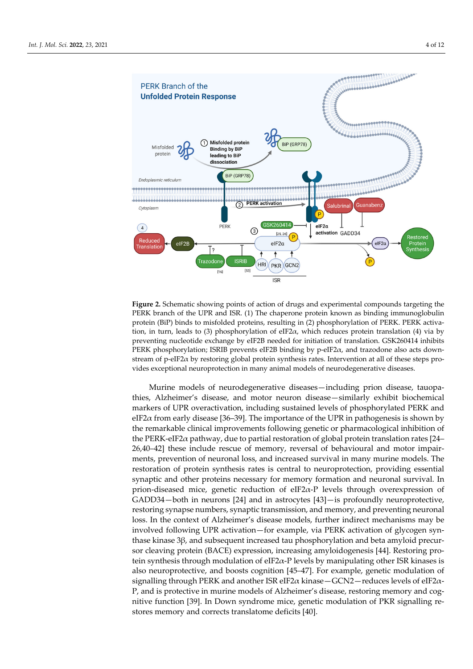

**Figure 2.** Schematic showing points of action of drugs and experimental compounds targeting the PERK branch of the UPR and ISR. (1) The chaperone protein known as binding immunoglobulin protein (BiP) binds to misfolded proteins, resulting in (2) phosphorylation of PERK. PERK activation, in turn, leads to (3) phosphorylation of eIF2 $\alpha$ , which reduces protein translation (4) via by preventing nucleotide exchange by eIF2B needed for initiation of translation. GSK260414 inhibits PERK phosphorylation; ISRIB prevents eIF2B binding by p-eIF2α, and trazodone also acts downstream of p-eIF2α by restoring global protein synthesis rates. Intervention at all of these steps provides exceptional neuroprotection in many animal models of neurodegenerative diseases.

Murine models of neurodegenerative diseases—including prion disease, tauopathies, Alzheimer's disease, and motor neuron disease—similarly exhibit biochemical markers of UPR overactivation, including sustained levels of phosphorylated PERK and eIF2 $\alpha$  from early disease [36–39]. The importance of the UPR in pathogenesis is shown by the remarkable clinical improvements following genetic or pharmacological inhibition of the PERK-eIF2 $\alpha$  pathway, due to partial restoration of global protein translation rates [24– 26,40–42] these include rescue of memory, reversal of behavioural and motor impairments, prevention of neuronal loss, and increased survival in many murine models. The restoration of protein synthesis rates is central to neuroprotection, providing essential synaptic and other proteins necessary for memory formation and neuronal survival. In prion-diseased mice, genetic reduction of eIF2 $\alpha$ -P levels through overexpression of GADD34—both in neurons [24] and in astrocytes [43]—is profoundly neuroprotective, restoring synapse numbers, synaptic transmission, and memory, and preventing neuronal loss. In the context of Alzheimer's disease models, further indirect mechanisms may be involved following UPR activation—for example, via PERK activation of glycogen synthase kinase 3β, and subsequent increased tau phosphorylation and beta amyloid precursor cleaving protein (BACE) expression, increasing amyloidogenesis [44]. Restoring protein synthesis through modulation of eIF2 $\alpha$ -P levels by manipulating other ISR kinases is also neuroprotective, and boosts cognition [45–47]. For example, genetic modulation of signalling through PERK and another ISR eIF2 $\alpha$  kinase — GCN2—reduces levels of eIF2 $\alpha$ -P, and is protective in murine models of Alzheimer's disease, restoring memory and cognitive function [39]. In Down syndrome mice, genetic modulation of PKR signalling restores memory and corrects translatome deficits [40].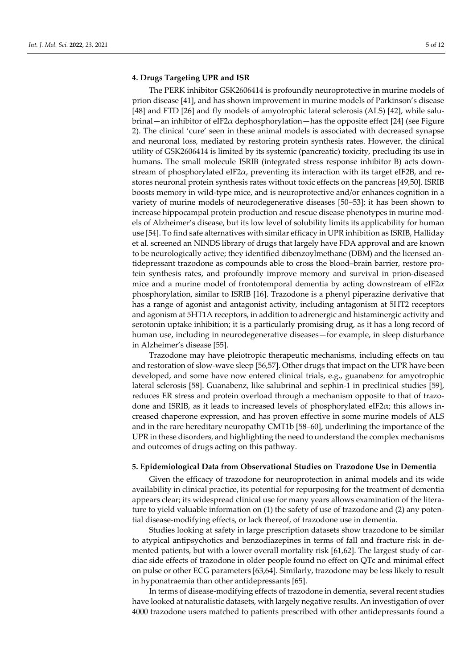## **4. Drugs Targeting UPR and ISR**

The PERK inhibitor GSK2606414 is profoundly neuroprotective in murine models of prion disease [41], and has shown improvement in murine models of Parkinson's disease [48] and FTD [26] and fly models of amyotrophic lateral sclerosis (ALS) [42], while salubrinal—an inhibitor of eIF2 $\alpha$  dephosphorylation—has the opposite effect [24] (see Figure 2). The clinical 'cure' seen in these animal models is associated with decreased synapse and neuronal loss, mediated by restoring protein synthesis rates. However, the clinical utility of GSK2606414 is limited by its systemic (pancreatic) toxicity, precluding its use in humans. The small molecule ISRIB (integrated stress response inhibitor B) acts downstream of phosphorylated eIF2 $\alpha$ , preventing its interaction with its target eIF2B, and restores neuronal protein synthesis rates without toxic effects on the pancreas [49,50]. ISRIB boosts memory in wild-type mice, and is neuroprotective and/or enhances cognition in a variety of murine models of neurodegenerative diseases [50–53]; it has been shown to increase hippocampal protein production and rescue disease phenotypes in murine models of Alzheimer's disease, but its low level of solubility limits its applicability for human use [54]. To find safe alternatives with similar efficacy in UPR inhibition as ISRIB, Halliday et al. screened an NINDS library of drugs that largely have FDA approval and are known to be neurologically active; they identified dibenzoylmethane (DBM) and the licensed antidepressant trazodone as compounds able to cross the blood–brain barrier, restore protein synthesis rates, and profoundly improve memory and survival in prion-diseased mice and a murine model of frontotemporal dementia by acting downstream of eIF2 $\alpha$ phosphorylation, similar to ISRIB [16]. Trazodone is a phenyl piperazine derivative that has a range of agonist and antagonist activity, including antagonism at 5HT2 receptors and agonism at 5HT1A receptors, in addition to adrenergic and histaminergic activity and serotonin uptake inhibition; it is a particularly promising drug, as it has a long record of human use, including in neurodegenerative diseases—for example, in sleep disturbance in Alzheimer's disease [55].

Trazodone may have pleiotropic therapeutic mechanisms, including effects on tau and restoration of slow-wave sleep [56,57]. Other drugs that impact on the UPR have been developed, and some have now entered clinical trials, e.g., guanabenz for amyotrophic lateral sclerosis [58]. Guanabenz, like salubrinal and sephin-1 in preclinical studies [59], reduces ER stress and protein overload through a mechanism opposite to that of trazodone and ISRIB, as it leads to increased levels of phosphorylated eIF2α; this allows increased chaperone expression, and has proven effective in some murine models of ALS and in the rare hereditary neuropathy CMT1b [58–60], underlining the importance of the UPR in these disorders, and highlighting the need to understand the complex mechanisms and outcomes of drugs acting on this pathway.

#### **5. Epidemiological Data from Observational Studies on Trazodone Use in Dementia**

Given the efficacy of trazodone for neuroprotection in animal models and its wide availability in clinical practice, its potential for repurposing for the treatment of dementia appears clear; its widespread clinical use for many years allows examination of the literature to yield valuable information on (1) the safety of use of trazodone and (2) any potential disease-modifying effects, or lack thereof, of trazodone use in dementia.

Studies looking at safety in large prescription datasets show trazodone to be similar to atypical antipsychotics and benzodiazepines in terms of fall and fracture risk in demented patients, but with a lower overall mortality risk [61,62]. The largest study of cardiac side effects of trazodone in older people found no effect on QTc and minimal effect on pulse or other ECG parameters [63,64]. Similarly, trazodone may be less likely to result in hyponatraemia than other antidepressants [65].

In terms of disease-modifying effects of trazodone in dementia, several recent studies have looked at naturalistic datasets, with largely negative results. An investigation of over 4000 trazodone users matched to patients prescribed with other antidepressants found a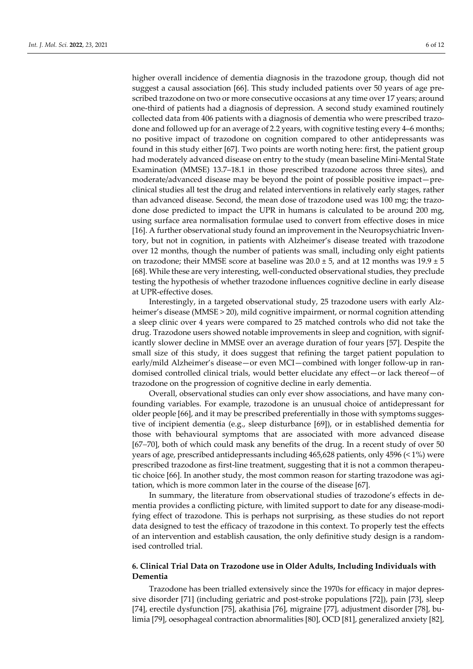higher overall incidence of dementia diagnosis in the trazodone group, though did not suggest a causal association [66]. This study included patients over 50 years of age prescribed trazodone on two or more consecutive occasions at any time over 17 years; around one-third of patients had a diagnosis of depression. A second study examined routinely collected data from 406 patients with a diagnosis of dementia who were prescribed trazodone and followed up for an average of 2.2 years, with cognitive testing every 4–6 months; no positive impact of trazodone on cognition compared to other antidepressants was found in this study either [67]. Two points are worth noting here: first, the patient group had moderately advanced disease on entry to the study (mean baseline Mini-Mental State Examination (MMSE) 13.7–18.1 in those prescribed trazodone across three sites), and moderate/advanced disease may be beyond the point of possible positive impact—preclinical studies all test the drug and related interventions in relatively early stages, rather than advanced disease. Second, the mean dose of trazodone used was 100 mg; the trazodone dose predicted to impact the UPR in humans is calculated to be around 200 mg, using surface area normalisation formulae used to convert from effective doses in mice [16]. A further observational study found an improvement in the Neuropsychiatric Inventory, but not in cognition, in patients with Alzheimer's disease treated with trazodone over 12 months, though the number of patients was small, including only eight patients on trazodone; their MMSE score at baseline was  $20.0 \pm 5$ , and at 12 months was  $19.9 \pm 5$ [68]. While these are very interesting, well-conducted observational studies, they preclude testing the hypothesis of whether trazodone influences cognitive decline in early disease at UPR-effective doses.

Interestingly, in a targeted observational study, 25 trazodone users with early Alzheimer's disease (MMSE > 20), mild cognitive impairment, or normal cognition attending a sleep clinic over 4 years were compared to 25 matched controls who did not take the drug. Trazodone users showed notable improvements in sleep and cognition, with significantly slower decline in MMSE over an average duration of four years [57]. Despite the small size of this study, it does suggest that refining the target patient population to early/mild Alzheimer's disease—or even MCI—combined with longer follow-up in randomised controlled clinical trials, would better elucidate any effect—or lack thereof—of trazodone on the progression of cognitive decline in early dementia.

Overall, observational studies can only ever show associations, and have many confounding variables. For example, trazodone is an unusual choice of antidepressant for older people [66], and it may be prescribed preferentially in those with symptoms suggestive of incipient dementia (e.g., sleep disturbance [69]), or in established dementia for those with behavioural symptoms that are associated with more advanced disease  $[67–70]$ , both of which could mask any benefits of the drug. In a recent study of over 50 years of age, prescribed antidepressants including 465,628 patients, only 4596 (< 1%) were prescribed trazodone as first-line treatment, suggesting that it is not a common therapeutic choice [66]. In another study, the most common reason for starting trazodone was agitation, which is more common later in the course of the disease [67].

In summary, the literature from observational studies of trazodone's effects in dementia provides a conflicting picture, with limited support to date for any disease-modifying effect of trazodone. This is perhaps not surprising, as these studies do not report data designed to test the efficacy of trazodone in this context. To properly test the effects of an intervention and establish causation, the only definitive study design is a randomised controlled trial.

# **6. Clinical Trial Data on Trazodone use in Older Adults, Including Individuals with Dementia**

Trazodone has been trialled extensively since the 1970s for efficacy in major depressive disorder [71] (including geriatric and post-stroke populations [72]), pain [73], sleep [74], erectile dysfunction [75], akathisia [76], migraine [77], adjustment disorder [78], bulimia [79], oesophageal contraction abnormalities [80], OCD [81], generalized anxiety [82],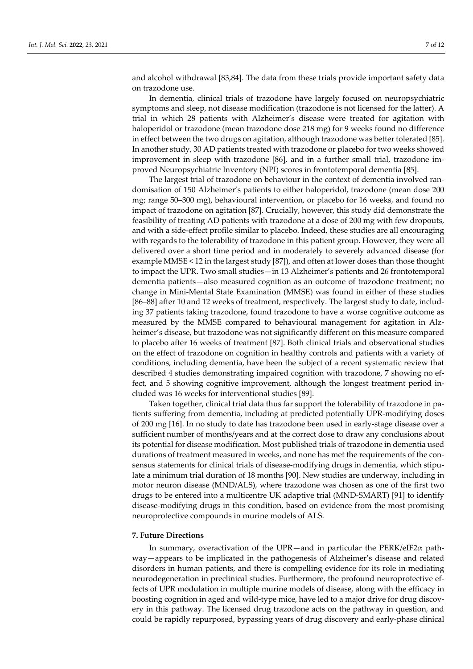and alcohol withdrawal [83,84]. The data from these trials provide important safety data on trazodone use.

In dementia, clinical trials of trazodone have largely focused on neuropsychiatric symptoms and sleep, not disease modification (trazodone is not licensed for the latter). A trial in which 28 patients with Alzheimer's disease were treated for agitation with haloperidol or trazodone (mean trazodone dose 218 mg) for 9 weeks found no difference in effect between the two drugs on agitation, although trazodone was better tolerated [85]. In another study, 30 AD patients treated with trazodone or placebo for two weeks showed improvement in sleep with trazodone [86], and in a further small trial, trazodone improved Neuropsychiatric Inventory (NPI) scores in frontotemporal dementia [85].

The largest trial of trazodone on behaviour in the context of dementia involved randomisation of 150 Alzheimer's patients to either haloperidol, trazodone (mean dose 200 mg; range 50–300 mg), behavioural intervention, or placebo for 16 weeks, and found no impact of trazodone on agitation [87]. Crucially, however, this study did demonstrate the feasibility of treating AD patients with trazodone at a dose of 200 mg with few dropouts, and with a side-effect profile similar to placebo. Indeed, these studies are all encouraging with regards to the tolerability of trazodone in this patient group. However, they were all delivered over a short time period and in moderately to severely advanced disease (for example MMSE < 12 in the largest study [87]), and often at lower doses than those thought to impact the UPR. Two small studies—in 13 Alzheimer's patients and 26 frontotemporal dementia patients—also measured cognition as an outcome of trazodone treatment; no change in Mini-Mental State Examination (MMSE) was found in either of these studies [86–88] after 10 and 12 weeks of treatment, respectively. The largest study to date, including 37 patients taking trazodone, found trazodone to have a worse cognitive outcome as measured by the MMSE compared to behavioural management for agitation in Alzheimer's disease, but trazodone was not significantly different on this measure compared to placebo after 16 weeks of treatment [87]. Both clinical trials and observational studies on the effect of trazodone on cognition in healthy controls and patients with a variety of conditions, including dementia, have been the subject of a recent systematic review that described 4 studies demonstrating impaired cognition with trazodone, 7 showing no effect, and 5 showing cognitive improvement, although the longest treatment period included was 16 weeks for interventional studies [89].

Taken together, clinical trial data thus far support the tolerability of trazodone in patients suffering from dementia, including at predicted potentially UPR-modifying doses of 200 mg [16]. In no study to date has trazodone been used in early-stage disease over a sufficient number of months/years and at the correct dose to draw any conclusions about its potential for disease modification. Most published trials of trazodone in dementia used durations of treatment measured in weeks, and none has met the requirements of the consensus statements for clinical trials of disease-modifying drugs in dementia, which stipulate a minimum trial duration of 18 months [90]. New studies are underway, including in motor neuron disease (MND/ALS), where trazodone was chosen as one of the first two drugs to be entered into a multicentre UK adaptive trial (MND-SMART) [91] to identify disease-modifying drugs in this condition, based on evidence from the most promising neuroprotective compounds in murine models of ALS.

#### **7. Future Directions**

In summary, overactivation of the UPR—and in particular the PERK/eIF2 $\alpha$  pathway—appears to be implicated in the pathogenesis of Alzheimer's disease and related disorders in human patients, and there is compelling evidence for its role in mediating neurodegeneration in preclinical studies. Furthermore, the profound neuroprotective effects of UPR modulation in multiple murine models of disease, along with the efficacy in boosting cognition in aged and wild-type mice, have led to a major drive for drug discovery in this pathway. The licensed drug trazodone acts on the pathway in question, and could be rapidly repurposed, bypassing years of drug discovery and early-phase clinical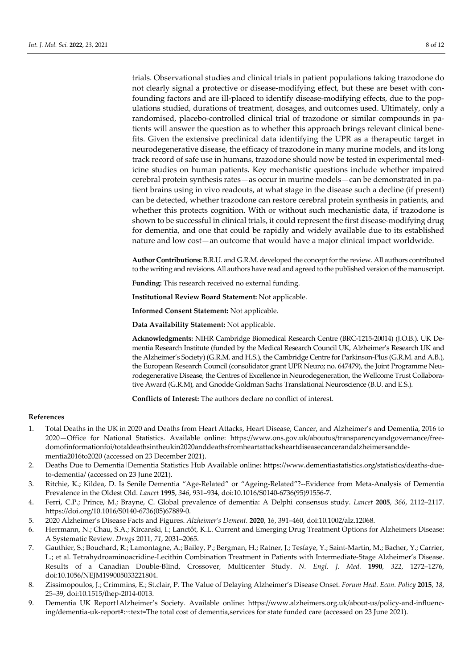trials. Observational studies and clinical trials in patient populations taking trazodone do not clearly signal a protective or disease-modifying effect, but these are beset with confounding factors and are ill-placed to identify disease-modifying effects, due to the populations studied, durations of treatment, dosages, and outcomes used. Ultimately, only a randomised, placebo-controlled clinical trial of trazodone or similar compounds in patients will answer the question as to whether this approach brings relevant clinical benefits. Given the extensive preclinical data identifying the UPR as a therapeutic target in neurodegenerative disease, the efficacy of trazodone in many murine models, and its long track record of safe use in humans, trazodone should now be tested in experimental medicine studies on human patients. Key mechanistic questions include whether impaired cerebral protein synthesis rates—as occur in murine models—can be demonstrated in patient brains using in vivo readouts, at what stage in the disease such a decline (if present) can be detected, whether trazodone can restore cerebral protein synthesis in patients, and whether this protects cognition. With or without such mechanistic data, if trazodone is shown to be successful in clinical trials, it could represent the first disease-modifying drug for dementia, and one that could be rapidly and widely available due to its established nature and low cost—an outcome that would have a major clinical impact worldwide.

**Author Contributions:** B.R.U. and G.R.M. developed the concept for the review. All authors contributed to the writing and revisions. All authors have read and agreed to the published version of the manuscript.

**Funding:** This research received no external funding.

**Institutional Review Board Statement:** Not applicable.

**Informed Consent Statement:** Not applicable.

**Data Availability Statement:** Not applicable.

**Acknowledgments:** NIHR Cambridge Biomedical Research Centre (BRC-1215-20014) (J.O.B.). UK Dementia Research Institute (funded by the Medical Research Council UK, Alzheimer's Research UK and the Alzheimer's Society) (G.R.M. and H.S.), the Cambridge Centre for Parkinson-Plus (G.R.M. and A.B.), the European Research Council (consolidator grant UPR Neuro; no. 647479), the Joint Programme Neurodegenerative Disease, the Centres of Excellence in Neurodegeneration, the Wellcome Trust Collaborative Award (G.R.M), and Gnodde Goldman Sachs Translational Neuroscience (B.U. and E.S.).

**Conflicts of Interest:** The authors declare no conflict of interest.

#### **References**

- 1. Total Deaths in the UK in 2020 and Deaths from Heart Attacks, Heart Disease, Cancer, and Alzheimer's and Dementia, 2016 to 2020—Office for National Statistics. Available online: https://www.ons.gov.uk/aboutus/transparencyandgovernance/freedomofinformationfoi/totaldeathsintheukin2020anddeathsfromheartattacksheartdiseasecancerandalzheimersanddementia2016to2020 (accessed on 23 December 2021).
- 2. Deaths Due to Dementia|Dementia Statistics Hub Available online: https://www.dementiastatistics.org/statistics/deaths-dueto-dementia/ (accessed on 23 June 2021).
- 3. Ritchie, K.; Kildea, D. Is Senile Dementia "Age-Related" or "Ageing-Related"?--Evidence from Meta-Analysis of Dementia Prevalence in the Oldest Old. *Lancet* **1995**, *346*, 931–934, doi:10.1016/S0140-6736(95)91556-7.
- 4. Ferri, C.P.; Prince, M.; Brayne, C. Global prevalence of dementia: A Delphi consensus study. *Lancet* **2005**, *366*, 2112–2117. https://doi.org/10.1016/S0140-6736(05)67889-0.
- 5. 2020 Alzheimer's Disease Facts and Figures. *Alzheimer's Dement.* **2020**, *16*, 391–460, doi:10.1002/alz.12068.
- 6. Herrmann, N.; Chau, S.A.; Kircanski, I.; Lanctôt, K.L. Current and Emerging Drug Treatment Options for Alzheimers Disease: A Systematic Review. *Drugs* 2011, *71*, 2031–2065.
- 7. Gauthier, S.; Bouchard, R.; Lamontagne, A.; Bailey, P.; Bergman, H.; Ratner, J.; Tesfaye, Y.; Saint-Martin, M.; Bacher, Y.; Carrier, L.; et al. Tetrahydroaminoacridine-Lecithin Combination Treatment in Patients with Intermediate-Stage Alzheimer's Disease. Results of a Canadian Double-Blind, Crossover, Multicenter Study. *N. Engl. J. Med.* **1990**, *322*, 1272–1276, doi:10.1056/NEJM199005033221804.
- 8. Zissimopoulos, J.; Crimmins, E.; St.clair, P. The Value of Delaying Alzheimer's Disease Onset. *Forum Heal. Econ. Policy* **2015**, *18*, 25–39, doi:10.1515/fhep-2014-0013.
- 9. Dementia UK Report|Alzheimer's Society. Available online: https://www.alzheimers.org.uk/about-us/policy-and-influencing/dementia-uk-report#:~:text=The total cost of dementia,services for state funded care (accessed on 23 June 2021).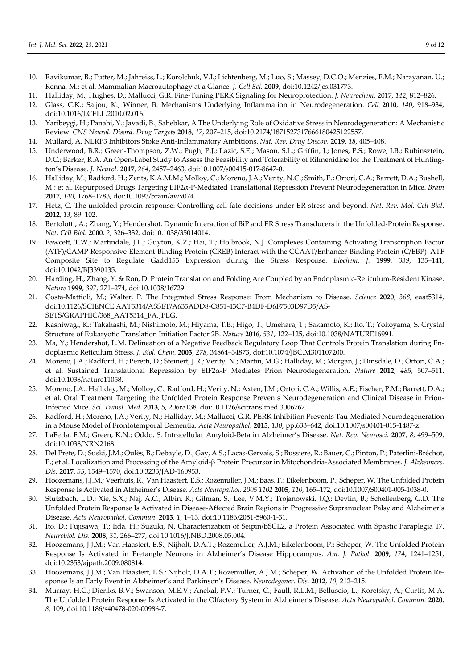- 10. Ravikumar, B.; Futter, M.; Jahreiss, L.; Korolchuk, V.I.; Lichtenberg, M.; Luo, S.; Massey, D.C.O.; Menzies, F.M.; Narayanan, U.; Renna, M.; et al. Mammalian Macroautophagy at a Glance. *J. Cell Sci.* **2009**, doi:10.1242/jcs.031773.
- 11. Halliday, M.; Hughes, D.; Mallucci, G.R. Fine-Tuning PERK Signaling for Neuroprotection. *J. Neurochem.* 2017, *142*, 812–826.
- 12. Glass, C.K.; Saijou, K.; Winner, B. Mechanisms Underlying Inflammation in Neurodegeneration. *Cell* **2010**, *140*, 918–934, doi:10.1016/J.CELL.2010.02.016.
- 13. Yaribeygi, H.; Panahi, Y.; Javadi, B.; Sahebkar, A The Underlying Role of Oxidative Stress in Neurodegeneration: A Mechanistic Review. *CNS Neurol. Disord. Drug Targets* **2018**, *17*, 207–215, doi:10.2174/1871527317666180425122557.
- 14. Mullard, A. NLRP3 Inhibitors Stoke Anti-Inflammatory Ambitions. *Nat. Rev. Drug Discov.* **2019**, *18*, 405–408.
- 15. Underwood, B.R.; Green-Thompson, Z.W.; Pugh, P.J.; Lazic, S.E.; Mason, S.L.; Griffin, J.; Jones, P.S.; Rowe, J.B.; Rubinsztein, D.C.; Barker, R.A. An Open-Label Study to Assess the Feasibility and Tolerability of Rilmenidine for the Treatment of Huntington's Disease. *J. Neurol.* **2017**, *264*, 2457–2463, doi:10.1007/s00415-017-8647-0.
- 16. Halliday, M.; Radford, H.; Zents, K.A.M.M.; Molloy, C.; Moreno, J.A.; Verity, N.C.; Smith, E.; Ortori, C.A.; Barrett, D.A.; Bushell, M.; et al. Repurposed Drugs Targeting EIF2α-P-Mediated Translational Repression Prevent Neurodegeneration in Mice. *Brain* **2017**, *140*, 1768–1783, doi:10.1093/brain/awx074.
- 17. Hetz, C. The unfolded protein response: Controlling cell fate decisions under ER stress and beyond. *Nat. Rev. Mol. Cell Biol*. **2012**, *13*, 89–102.
- 18. Bertolotti, A.; Zhang, Y.; Hendershot. Dynamic Interaction of BiP and ER Stress Transducers in the Unfolded-Protein Response. *Nat. Cell Biol.* **2000**, *2*, 326–332, doi:10.1038/35014014.
- 19. Fawcett, T.W.; Martindale, J.L.; Guyton, K.Z.; Hai, T.; Holbrook, N.J. Complexes Containing Activating Transcription Factor (ATF)/CAMP-Responsive-Element-Binding Protein (CREB) Interact with the CCAAT/Enhancer-Binding Protein (C/EBP)–ATF Composite Site to Regulate Gadd153 Expression during the Stress Response. *Biochem. J.* **1999**, *339*, 135–141, doi:10.1042/BJ3390135.
- 20. Harding, H., Zhang, Y. & Ron, D. Protein Translation and Folding Are Coupled by an Endoplasmic-Reticulum-Resident Kinase. *Nature* **1999**, *397*, 271–274, doi:10.1038/16729.
- 21. Costa-Mattioli, M.; Walter, P. The Integrated Stress Response: From Mechanism to Disease. *Science* **2020**, *368*, eaat5314, doi:10.1126/SCIENCE.AAT5314/ASSET/A635ADD8-C851-43C7-B4DF-D6F7503D97D5/AS-SETS/GRAPHIC/368\_AAT5314\_FA.JPEG.
- 22. Kashiwagi, K.; Takahashi, M.; Nishimoto, M.; Hiyama, T.B.; Higo, T.; Umehara, T.; Sakamoto, K.; Ito, T.; Yokoyama, S. Crystal Structure of Eukaryotic Translation Initiation Factor 2B. *Nature* **2016**, *531*, 122–125, doi:10.1038/NATURE16991.
- 23. Ma, Y.; Hendershot, L.M. Delineation of a Negative Feedback Regulatory Loop That Controls Protein Translation during Endoplasmic Reticulum Stress. *J. Biol. Chem.* **2003**, *278*, 34864–34873, doi:10.1074/JBC.M301107200.
- 24. Moreno, J.A.; Radford, H.; Peretti, D.; Steinert, J.R.; Verity, N.; Martin, M.G.; Halliday, M.; Morgan, J.; Dinsdale, D.; Ortori, C.A.; et al. Sustained Translational Repression by EIF2α-P Mediates Prion Neurodegeneration. *Nature* **2012**, *485*, 507–511. doi:10.1038/nature11058.
- 25. Moreno, J.A.; Halliday, M.; Molloy, C.; Radford, H.; Verity, N.; Axten, J.M.; Ortori, C.A.; Willis, A.E.; Fischer, P.M.; Barrett, D.A.; et al. Oral Treatment Targeting the Unfolded Protein Response Prevents Neurodegeneration and Clinical Disease in Prion-Infected Mice. *Sci. Transl. Med.* **2013**, *5*, 206ra138, doi:10.1126/scitranslmed.3006767.
- 26. Radford, H.; Moreno, J.A.; Verity, N.; Halliday, M.; Mallucci, G.R. PERK Inhibition Prevents Tau-Mediated Neurodegeneration in a Mouse Model of Frontotemporal Dementia. *Acta Neuropathol.* **2015**, *130*, pp.633–642, doi:10.1007/s00401-015-1487-z.
- 27. LaFerla, F.M.; Green, K.N.; Oddo, S. Intracellular Amyloid-Beta in Alzheimer's Disease. *Nat. Rev. Neurosci.* **2007**, *8*, 499–509, doi:10.1038/NRN2168.
- 28. Del Prete, D.; Suski, J.M.; Oulès, B.; Debayle, D.; Gay, A.S.; Lacas-Gervais, S.; Bussiere, R.; Bauer, C.; Pinton, P.; Paterlini-Bréchot, P.; et al. Localization and Processing of the Amyloid-β Protein Precursor in Mitochondria-Associated Membranes. *J. Alzheimers. Dis.* **2017**, *55*, 1549–1570, doi:10.3233/JAD-160953.
- 29. Hoozemans, J.J.M.; Veerhuis, R.; Van Haastert, E.S.; Rozemuller, J.M.; Baas, F.; Eikelenboom, P.; Scheper, W. The Unfolded Protein Response Is Activated in Alzheimer's Disease. *Acta Neuropathol. 2005 1102* **2005**, *110*, 165–172, doi:10.1007/S00401-005-1038-0.
- 30. Stutzbach, L.D.; Xie, S.X.; Naj, A.C.; Albin, R.; Gilman, S.; Lee, V.M.Y.; Trojanowski, J.Q.; Devlin, B.; Schellenberg, G.D. The Unfolded Protein Response Is Activated in Disease-Affected Brain Regions in Progressive Supranuclear Palsy and Alzheimer's Disease. *Acta Neuropathol. Commun.* **2013**, *1*, 1–13, doi:10.1186/2051-5960-1-31.
- 31. Ito, D.; Fujisawa, T.; Iida, H.; Suzuki, N. Characterization of Seipin/BSCL2, a Protein Associated with Spastic Paraplegia 17. *Neurobiol. Dis.* **2008**, *31*, 266–277, doi:10.1016/J.NBD.2008.05.004.
- 32. Hoozemans, J.J.M.; Van Haastert, E.S.; Nijholt, D.A.T.; Rozemuller, A.J.M.; Eikelenboom, P.; Scheper, W. The Unfolded Protein Response Is Activated in Pretangle Neurons in Alzheimer's Disease Hippocampus. *Am. J. Pathol.* **2009**, *174*, 1241–1251, doi:10.2353/ajpath.2009.080814.
- 33. Hoozemans, J.J.M.; Van Haastert, E.S.; Nijholt, D.A.T.; Rozemuller, A.J.M.; Scheper, W. Activation of the Unfolded Protein Response Is an Early Event in Alzheimer's and Parkinson's Disease. *Neurodegener. Dis.* **2012**, *10*, 212–215.
- 34. Murray, H.C.; Dieriks, B.V.; Swanson, M.E.V.; Anekal, P.V.; Turner, C.; Faull, R.L.M.; Belluscio, L.; Koretsky, A.; Curtis, M.A. The Unfolded Protein Response Is Activated in the Olfactory System in Alzheimer's Disease. *Acta Neuropathol. Commun.* **2020**, *8*, 109, doi:10.1186/s40478-020-00986-7.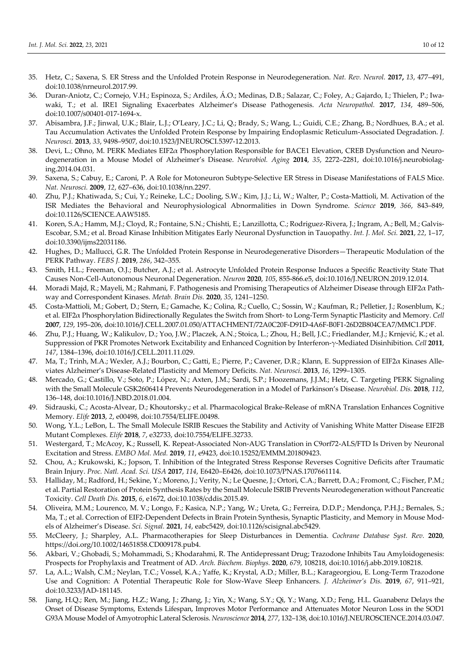- 35. Hetz, C.; Saxena, S. ER Stress and the Unfolded Protein Response in Neurodegeneration. *Nat. Rev. Neurol.* **2017,** *13*, 477–491, doi:10.1038/nrneurol.2017.99.
- 36. Duran-Aniotz, C.; Cornejo, V.H.; Espinoza, S.; Ardiles, Á.O.; Medinas, D.B.; Salazar, C.; Foley, A.; Gajardo, I.; Thielen, P.; Iwawaki, T.; et al. IRE1 Signaling Exacerbates Alzheimer's Disease Pathogenesis. *Acta Neuropathol.* **2017**, *134*, 489–506, doi:10.1007/s00401-017-1694-x.
- 37. Abisambra, J.F.; Jinwal, U.K.; Blair, L.J.; O'Leary, J.C.; Li, Q.; Brady, S.; Wang, L.; Guidi, C.E.; Zhang, B.; Nordhues, B.A.; et al. Tau Accumulation Activates the Unfolded Protein Response by Impairing Endoplasmic Reticulum-Associated Degradation. *J. Neurosci.* **2013**, *33*, 9498–9507, doi:10.1523/JNEUROSCI.5397-12.2013.
- 38. Devi, L.; Ohno, M. PERK Mediates EIF2α Phosphorylation Responsible for BACE1 Elevation, CREB Dysfunction and Neurodegeneration in a Mouse Model of Alzheimer's Disease. *Neurobiol. Aging* **2014**, *35*, 2272–2281, doi:10.1016/j.neurobiolaging.2014.04.031.
- 39. Saxena, S.; Cabuy, E.; Caroni, P. A Role for Motoneuron Subtype-Selective ER Stress in Disease Manifestations of FALS Mice. *Nat. Neurosci.* **2009**, *12*, 627–636, doi:10.1038/nn.2297.
- 40. Zhu, P.J.; Khatiwada, S.; Cui, Y.; Reineke, L.C.; Dooling, S.W.; Kim, J.J.; Li, W.; Walter, P.; Costa-Mattioli, M. Activation of the ISR Mediates the Behavioral and Neurophysiological Abnormalities in Down Syndrome. *Science* **2019**, *366*, 843–849, doi:10.1126/SCIENCE.AAW5185.
- 41. Koren, S.A.; Hamm, M.J.; Cloyd, R.; Fontaine, S.N.; Chishti, E.; Lanzillotta, C.; Rodriguez-Rivera, J.; Ingram, A.; Bell, M.; Galvis-Escobar, S.M.; et al. Broad Kinase Inhibition Mitigates Early Neuronal Dysfunction in Tauopathy. *Int. J. Mol. Sci.* **2021**, *22*, 1–17, doi:10.3390/ijms22031186.
- 42. Hughes, D.; Mallucci, G.R. The Unfolded Protein Response in Neurodegenerative Disorders—Therapeutic Modulation of the PERK Pathway. *FEBS J.* **2019**, *286*, 342–355.
- 43. Smith, H.L.; Freeman, O.J.; Butcher, A.J.; et al. Astrocyte Unfolded Protein Response Induces a Specific Reactivity State That Causes Non-Cell-Autonomous Neuronal Degeneration. *Neuron* **2020**, *105*, 855-866.e5, doi:10.1016/J.NEURON.2019.12.014.
- 44. Moradi Majd, R.; Mayeli, M.; Rahmani, F. Pathogenesis and Promising Therapeutics of Alzheimer Disease through EIF2α Pathway and Correspondent Kinases. *Metab. Brain Dis.* **2020**, *35*, 1241–1250.
- 45. Costa-Mattioli, M.; Gobert, D.; Stern, E.; Gamache, K.; Colina, R.; Cuello, C.; Sossin, W.; Kaufman, R.; Pelletier, J.; Rosenblum, K.; et al. EIF2α Phosphorylation Bidirectionally Regulates the Switch from Short- to Long-Term Synaptic Plasticity and Memory. *Cell* **2007**, *129*, 195–206, doi:10.1016/J.CELL.2007.01.050/ATTACHMENT/72A0C20F-D91D-4A6F-B0F1-26D2B804CEA7/MMC1.PDF.
- 46. Zhu, P.J.; Huang, W.; Kalikulov, D.; Yoo, J.W.; Placzek, A.N.; Stoica, L.; Zhou, H.; Bell, J.C.; Friedlander, M.J.; Krnjević, K.; et al. Suppression of PKR Promotes Network Excitability and Enhanced Cognition by Interferon-γ-Mediated Disinhibition. *Cell* **2011**, *147*, 1384–1396, doi:10.1016/J.CELL.2011.11.029.
- 47. Ma, T.; Trinh, M.A.; Wexler, A.J.; Bourbon, C.; Gatti, E.; Pierre, P.; Cavener, D.R.; Klann, E. Suppression of EIF2α Kinases Alleviates Alzheimer's Disease-Related Plasticity and Memory Deficits. *Nat. Neurosci*. **2013**, *16*, 1299–1305.
- 48. Mercado, G.; Castillo, V.; Soto, P.; López, N.; Axten, J.M.; Sardi, S.P.; Hoozemans, J.J.M.; Hetz, C. Targeting PERK Signaling with the Small Molecule GSK2606414 Prevents Neurodegeneration in a Model of Parkinson's Disease. *Neurobiol. Dis.* **2018**, *112*, 136–148, doi:10.1016/J.NBD.2018.01.004.
- 49. Sidrauski, C.; Acosta-Alvear, D.; Khoutorsky.; et al. Pharmacological Brake-Release of mRNA Translation Enhances Cognitive Memory. *Elife* **2013**, *2*, e00498, doi:10.7554/ELIFE.00498.
- 50. Wong, Y.L.; LeBon, L. The Small Molecule ISRIB Rescues the Stability and Activity of Vanishing White Matter Disease EIF2B Mutant Complexes. *Elife* **2018**, *7*, e32733, doi:10.7554/ELIFE.32733.
- 51. Westergard, T.; McAcoy, K.; Russell, K. Repeat-Associated Non-AUG Translation in C9orf72-ALS/FTD Is Driven by Neuronal Excitation and Stress. *EMBO Mol. Med.* **2019**, *11*, e9423, doi:10.15252/EMMM.201809423.
- 52. Chou, A.; Krukowski, K.; Jopson, T. Inhibition of the Integrated Stress Response Reverses Cognitive Deficits after Traumatic Brain Injury. *Proc. Natl. Acad. Sci. USA* **2017**, *114*, E6420–E6426, doi:10.1073/PNAS.1707661114.
- 53. Halliday, M.; Radford, H.; Sekine, Y.; Moreno, J.; Verity, N.; Le Quesne, J.; Ortori, C.A.; Barrett, D.A.; Fromont, C.; Fischer, P.M.; et al. Partial Restoration of Protein Synthesis Rates by the Small Molecule ISRIB Prevents Neurodegeneration without Pancreatic Toxicity. *Cell Death Dis.* **2015**, *6*, e1672, doi:10.1038/cddis.2015.49.
- 54. Oliveira, M.M.; Lourenco, M. V.; Longo, F.; Kasica, N.P.; Yang, W.; Ureta, G.; Ferreira, D.D.P.; Mendonça, P.H.J.; Bernales, S.; Ma, T.; et al. Correction of EIF2-Dependent Defects in Brain Protein Synthesis, Synaptic Plasticity, and Memory in Mouse Models of Alzheimer's Disease. *Sci. Signal.* **2021**, *14*, eabc5429, doi:10.1126/scisignal.abc5429.
- 55. McCleery, J.; Sharpley, A.L. Pharmacotherapies for Sleep Disturbances in Dementia. *Cochrane Database Syst. Rev.* **2020**, https://doi.org/10.1002/14651858.CD009178.pub4.
- 56. Akbari, V.; Ghobadi, S.; Mohammadi, S.; Khodarahmi, R. The Antidepressant Drug; Trazodone Inhibits Tau Amyloidogenesis: Prospects for Prophylaxis and Treatment of AD. *Arch. Biochem. Biophys.* **2020**, *679*, 108218, doi:10.1016/j.abb.2019.108218.
- 57. La, A.L.; Walsh, C.M.; Neylan, T.C.; Vossel, K.A.; Yaffe, K.; Krystal, A.D.; Miller, B.L.; Karageorgiou, E. Long-Term Trazodone Use and Cognition: A Potential Therapeutic Role for Slow-Wave Sleep Enhancers. *J. Alzheimer's Dis.* **2019**, *67*, 911–921, doi:10.3233/JAD-181145.
- 58. Jiang, H.Q.; Ren, M.; Jiang, H.Z.; Wang, J.; Zhang, J.; Yin, X.; Wang, S.Y.; Qi, Y.; Wang, X.D.; Feng, H.L. Guanabenz Delays the Onset of Disease Symptoms, Extends Lifespan, Improves Motor Performance and Attenuates Motor Neuron Loss in the SOD1 G93A Mouse Model of Amyotrophic Lateral Sclerosis. *Neuroscience* **2014**, *277*, 132–138, doi:10.1016/J.NEUROSCIENCE.2014.03.047.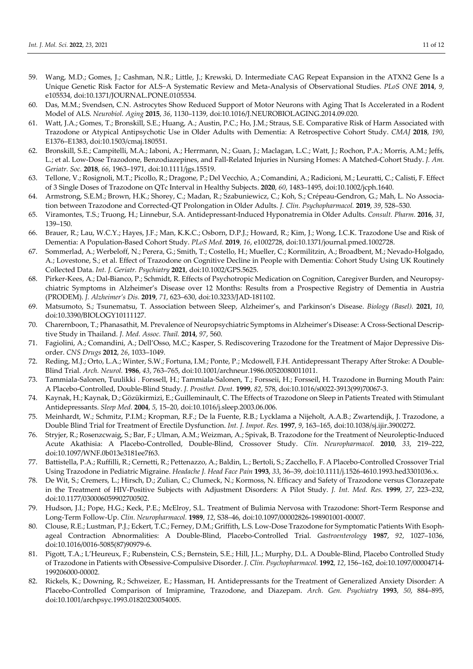- 59. Wang, M.D.; Gomes, J.; Cashman, N.R.; Little, J.; Krewski, D. Intermediate CAG Repeat Expansion in the ATXN2 Gene Is a Unique Genetic Risk Factor for ALS−A Systematic Review and Meta-Analysis of Observational Studies. *PLoS ONE* **2014**, *9*, e105534, doi:10.1371/JOURNAL.PONE.0105534.
- 60. Das, M.M.; Svendsen, C.N. Astrocytes Show Reduced Support of Motor Neurons with Aging That Is Accelerated in a Rodent Model of ALS. *Neurobiol. Aging* **2015**, *36*, 1130–1139, doi:10.1016/J.NEUROBIOLAGING.2014.09.020.
- 61. Watt, J.A.; Gomes, T.; Bronskill, S.E.; Huang, A.; Austin, P.C.; Ho, J.M.; Straus, S.E. Comparative Risk of Harm Associated with Trazodone or Atypical Antipsychotic Use in Older Adults with Dementia: A Retrospective Cohort Study. *CMAJ* **2018**, *190*, E1376–E1383, doi:10.1503/cmaj.180551.
- 62. Bronskill, S.E.; Campitelli, M.A.; Iaboni, A.; Herrmann, N.; Guan, J.; Maclagan, L.C.; Watt, J.; Rochon, P.A.; Morris, A.M.; Jeffs, L.; et al. Low-Dose Trazodone, Benzodiazepines, and Fall-Related Injuries in Nursing Homes: A Matched-Cohort Study. *J. Am. Geriatr. Soc.* **2018**, *66*, 1963–1971, doi:10.1111/jgs.15519.
- 63. Tellone, V.; Rosignoli, M.T.; Picollo, R.; Dragone, P.; Del Vecchio, A.; Comandini, A.; Radicioni, M.; Leuratti, C.; Calisti, F. Effect of 3 Single Doses of Trazodone on QTc Interval in Healthy Subjects. **2020**, *60*, 1483–1495, doi:10.1002/jcph.1640.
- 64. Armstrong, S.E.M.; Brown, H.K.; Shorey, C.; Madan, R.; Szabuniewicz, C.; Koh, S.; Crépeau-Gendron, G.; Mah, L. No Association between Trazodone and Corrected-QT Prolongation in Older Adults. *J. Clin. Psychopharmacol.* **2019**, *39*, 528–530.
- 65. Viramontes, T.S.; Truong, H.; Linnebur, S.A. Antidepressant-Induced Hyponatremia in Older Adults. *Consult. Pharm.* **2016**, *31*, 139–150.
- 66. Brauer, R.; Lau, W.C.Y.; Hayes, J.F.; Man, K.K.C.; Osborn, D.P.J.; Howard, R.; Kim, J.; Wong, I.C.K. Trazodone Use and Risk of Dementia: A Population-Based Cohort Study. *PLoS Med.* **2019**, *16*, e1002728, doi:10.1371/journal.pmed.1002728.
- 67. Sommerlad, A.; Werbeloff, N.; Perera, G.; Smith, T.; Costello, H.; Mueller, C.; Kormilitzin, A.; Broadbent, M.; Nevado-Holgado, A.; Lovestone, S.; et al. Effect of Trazodone on Cognitive Decline in People with Dementia: Cohort Study Using UK Routinely Collected Data. *Int. J. Geriatr. Psychiatry* **2021**, doi:10.1002/GPS.5625.
- 68. Pirker-Kees, A.; Dal-Bianco, P.; Schmidt, R. Effects of Psychotropic Medication on Cognition, Caregiver Burden, and Neuropsychiatric Symptoms in Alzheimer's Disease over 12 Months: Results from a Prospective Registry of Dementia in Austria (PRODEM). *J. Alzheimer's Dis.* **2019**, *71*, 623–630, doi:10.3233/JAD-181102.
- 69. Matsumoto, S.; Tsunematsu, T. Association between Sleep, Alzheimer's, and Parkinson's Disease. *Biology (Basel).* **2021**, *10*, doi:10.3390/BIOLOGY10111127.
- 70. Charernboon, T.; Phanasathit, M. Prevalence of Neuropsychiatric Symptoms in Alzheimer's Disease: A Cross-Sectional Descriptive Study in Thailand. *J. Med. Assoc. Thail.* **2014**, *97*, 560.
- 71. Fagiolini, A.; Comandini, A.; Dell'Osso, M.C.; Kasper, S. Rediscovering Trazodone for the Treatment of Major Depressive Disorder. *CNS Drugs* **2012**, *26*, 1033–1049.
- 72. Reding, M.J.; Orto, L.A.; Winter, S.W.; Fortuna, I.M.; Ponte, P.; Mcdowell, F.H. Antidepressant Therapy After Stroke: A Double-Blind Trial. *Arch. Neurol.* **1986**, *43*, 763–765, doi:10.1001/archneur.1986.00520080011011.
- 73. Tammiala-Salonen, Tuulikki . Forssell, H.; Tammiala-Salonen, T.; Forsseii, H.; Forsseil, H. Trazodone in Burning Mouth Pain: A Placebo-Controlled, Double-Blind Study. *J. Prosthet. Dent.* **1999**, *82*, 578, doi:10.1016/s0022-3913(99)70067-3.
- 74. Kaynak, H.; Kaynak, D.; Gözükirmizi, E.; Guilleminault, C. The Effects of Trazodone on Sleep in Patients Treated with Stimulant Antidepressants. *Sleep Med.* **2004**, *5*, 15–20, doi:10.1016/j.sleep.2003.06.006.
- 75. Meinhardt, W.; Schmitz, P.I.M.; Kropman, R.F.; De la Fuente, R.B.; Lycklama a Nijeholt, A.A.B.; Zwartendijk, J. Trazodone, a Double Blind Trial for Treatment of Erectile Dysfunction. *Int. J. Impot. Res.* **1997**, *9*, 163–165, doi:10.1038/sj.ijir.3900272.
- 76. Stryjer, R.; Rosenzcwaig, S.; Bar, F.; Ulman, A.M.; Weizman, A.; Spivak, B. Trazodone for the Treatment of Neuroleptic-Induced Acute Akathisia: A Placebo-Controlled, Double-Blind, Crossover Study. *Clin. Neuropharmacol.* **2010**, *33*, 219–222, doi:10.1097/WNF.0b013e3181ee7f63.
- 77. Battistella, P.A.; Ruffilli, R.; Cernetti, R.; Pettenazzo, A.; Baldin, L.; Bertoli, S.; Zacchello, F. A Placebo-Controlled Crossover Trial Using Trazodone in Pediatric Migraine. *Headache J. Head Face Pain* **1993**, *33*, 36–39, doi:10.1111/j.1526-4610.1993.hed3301036.x.
- 78. De Wit, S.; Cremers, L.; Hirsch, D.; Zulian, C.; Clumeck, N.; Kormoss, N. Efficacy and Safety of Trazodone versus Clorazepate in the Treatment of HIV-Positive Subjects with Adjustment Disorders: A Pilot Study. *J. Int. Med. Res.* **1999**, *27*, 223–232, doi:10.1177/030006059902700502.
- 79. Hudson, J.I.; Pope, H.G.; Keck, P.E.; McElroy, S.L. Treatment of Bulimia Nervosa with Trazodone: Short-Term Response and Long-Term Follow-Up. *Clin. Neuropharmacol.* **1989**, *12*, S38–46, doi:10.1097/00002826-198901001-00007.
- 80. Clouse, R.E.; Lustman, P.J.; Eckert, T.C.; Ferney, D.M.; Griffith, L.S. Low-Dose Trazodone for Symptomatic Patients With Esophageal Contraction Abnormalities: A Double-Blind, Placebo-Controlled Trial. *Gastroenterology* **1987**, *92*, 1027–1036, doi:10.1016/0016-5085(87)90979-6.
- 81. Pigott, T.A.; L'Heureux, F.; Rubenstein, C.S.; Bernstein, S.E.; Hill, J.L.; Murphy, D.L. A Double-Blind, Placebo Controlled Study of Trazodone in Patients with Obsessive-Compulsive Disorder. *J. Clin. Psychopharmacol.* **1992**, *12*, 156–162, doi:10.1097/00004714- 199206000-00002.
- 82. Rickels, K.; Downing, R.; Schweizer, E.; Hassman, H. Antidepressants for the Treatment of Generalized Anxiety Disorder: A Placebo-Controlled Comparison of Imipramine, Trazodone, and Diazepam. *Arch. Gen. Psychiatry* **1993**, *50*, 884–895, doi:10.1001/archpsyc.1993.01820230054005.